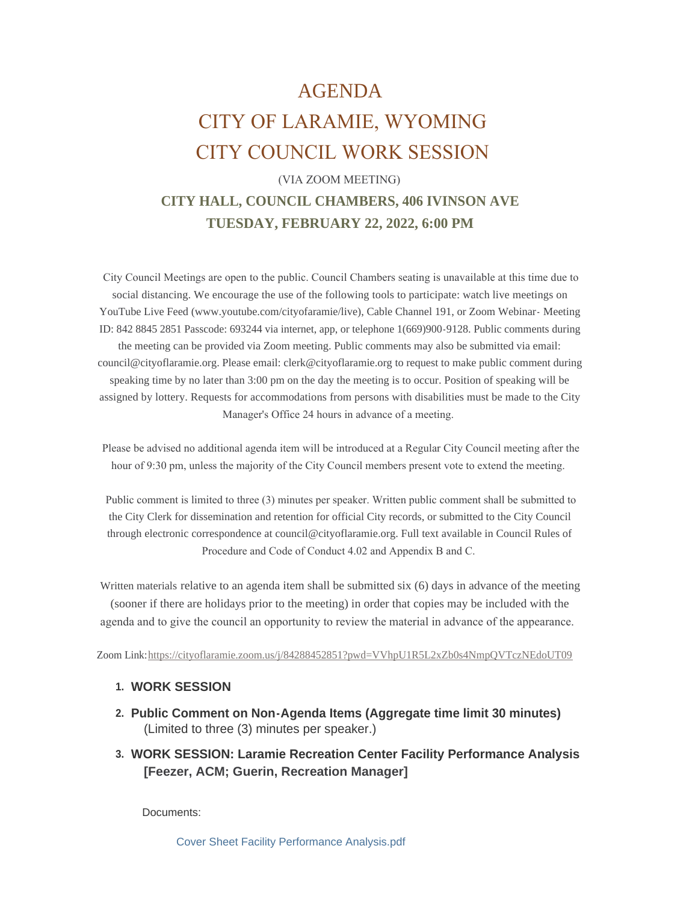# AGENDA CITY OF LARAMIE, WYOMING CITY COUNCIL WORK SESSION

# (VIA ZOOM MEETING) **CITY HALL, COUNCIL CHAMBERS, 406 IVINSON AVE TUESDAY, FEBRUARY 22, 2022, 6:00 PM**

 City Council Meetings are open to the public. Council Chambers seating is unavailable at this time due to social distancing. We encourage the use of the following tools to participate: watch live meetings on YouTube Live Feed (www.youtube.com/cityofaramie/live), Cable Channel 191, or Zoom Webinar- Meeting ID: 842 8845 2851 Passcode: 693244 via internet, app, or telephone 1(669)900-9128. Public comments during the meeting can be provided via Zoom meeting. Public comments may also be submitted via email: council@cityoflaramie.org. Please email: clerk@cityoflaramie.org to request to make public comment during speaking time by no later than 3:00 pm on the day the meeting is to occur. Position of speaking will be assigned by lottery. Requests for accommodations from persons with disabilities must be made to the City Manager's Office 24 hours in advance of a meeting.

 Please be advised no additional agenda item will be introduced at a Regular City Council meeting after the hour of 9:30 pm, unless the majority of the City Council members present vote to extend the meeting.

 Public comment is limited to three (3) minutes per speaker. Written public comment shall be submitted to the City Clerk for dissemination and retention for official City records, or submitted to the City Council through electronic correspondence at council@cityoflaramie.org. Full text available in Council Rules of Procedure and Code of Conduct 4.02 and Appendix B and C.

Written materials relative to an agenda item shall be submitted six (6) days in advance of the meeting (sooner if there are holidays prior to the meeting) in order that copies may be included with the agenda and to give the council an opportunity to review the material in advance of the appearance.

Zoom Link:<https://cityoflaramie.zoom.us/j/84288452851?pwd=VVhpU1R5L2xZb0s4NmpQVTczNEdoUT09>

# **WORK SESSION 1.**

- **Public Comment on Non-Agenda Items (Aggregate time limit 30 minutes) 2.** (Limited to three (3) minutes per speaker.)
- **WORK SESSION: Laramie Recreation Center Facility Performance Analysis 3. [Feezer, ACM; Guerin, Recreation Manager]**

Documents:

[Cover Sheet Facility Performance Analysis.pdf](https://www.cityoflaramie.org/AgendaCenter/ViewFile/Item/11904?fileID=16015)